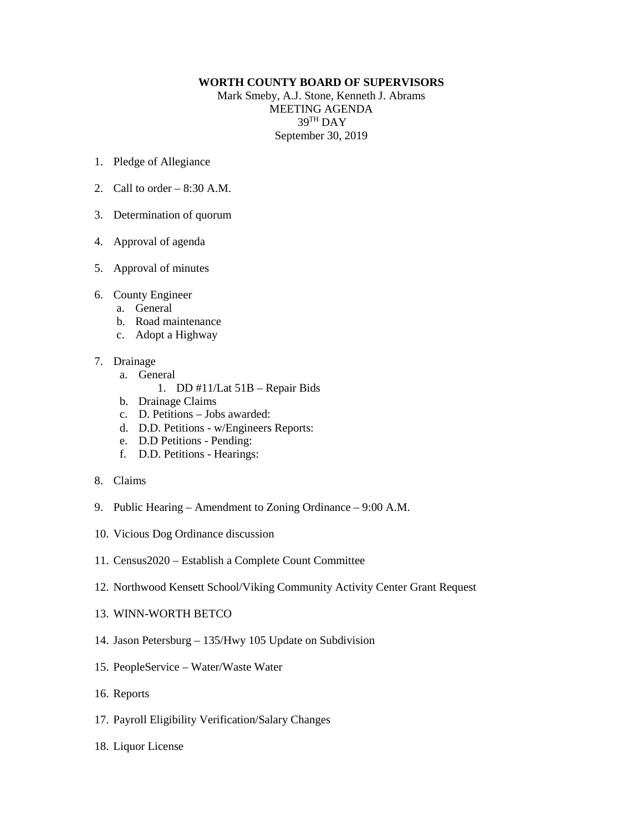## **WORTH COUNTY BOARD OF SUPERVISORS**

Mark Smeby, A.J. Stone, Kenneth J. Abrams MEETING AGENDA 39TH DAY September 30, 2019

- 1. Pledge of Allegiance
- 2. Call to order  $-8:30$  A.M.
- 3. Determination of quorum
- 4. Approval of agenda
- 5. Approval of minutes
- 6. County Engineer
	- a. General
	- b. Road maintenance
	- c. Adopt a Highway
- 7. Drainage
	- a. General
		- 1. DD #11/Lat 51B Repair Bids
	- b. Drainage Claims
	- c. D. Petitions Jobs awarded:
	- d. D.D. Petitions w/Engineers Reports:
	- e. D.D Petitions Pending:
	- f. D.D. Petitions Hearings:
- 8. Claims
- 9. Public Hearing Amendment to Zoning Ordinance 9:00 A.M.
- 10. Vicious Dog Ordinance discussion
- 11. Census2020 Establish a Complete Count Committee
- 12. Northwood Kensett School/Viking Community Activity Center Grant Request
- 13. WINN-WORTH BETCO
- 14. Jason Petersburg 135/Hwy 105 Update on Subdivision
- 15. PeopleService Water/Waste Water
- 16. Reports
- 17. Payroll Eligibility Verification/Salary Changes
- 18. Liquor License